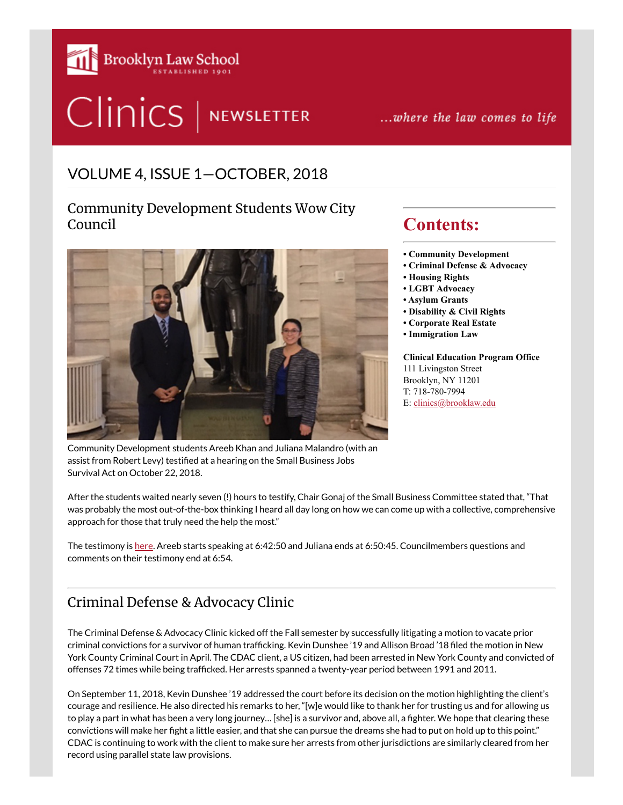

# 

...where the law comes to life

# VOLUME 4, ISSUE 1—OCTOBER, 2018

#### Community Development Students Wow City Council



Community Development students Areeb Khan and Juliana Malandro (with an assist from Robert Levy) testified at a hearing on the Small Business Jobs Survival Act on October 22, 2018.

# **Contents:**

- **Community Development**
- **Criminal Defense & Advocacy**
- **Housing Rights**
- **LGBT Advocacy**
- **Asylum Grants**
- **Disability & Civil Rights**
- **Corporate Real Estate**
- **Immigration Law**

**Clinical Education Program Office** 111 Livingston Street Brooklyn, NY 11201 T: 718-780-7994 E: [clinics@brooklaw.edu](mailto:clinics@brooklaw.edu)

After the students waited nearly seven (!) hours to testify, Chair Gonaj of the Small Business Committee stated that, "That was probably the most out-of-the-box thinking I heard all day long on how we can come up with a collective, comprehensive approach for those that truly need the help the most."

The testimony is [here](https://councilnyc.viebit.com/player.php?hash=VG92Moq10Zyn). Areeb starts speaking at 6:42:50 and Juliana ends at 6:50:45. Councilmembers questions and comments on their testimony end at 6:54.

### Criminal Defense & Advocacy Clinic

The Criminal Defense & Advocacy Clinic kicked off the Fall semester by successfully litigating a motion to vacate prior criminal convictions for a survivor of human trafficking. Kevin Dunshee '19 and Allison Broad '18 filed the motion in New York County Criminal Court in April. The CDAC client, a US citizen, had been arrested in New York County and convicted of offenses 72 times while being trafficked. Her arrests spanned a twenty-year period between 1991 and 2011.

On September 11, 2018, Kevin Dunshee '19 addressed the court before its decision on the motion highlighting the client's courage and resilience. He also directed his remarks to her, "[w]e would like to thank her for trusting us and for allowing us to play a part in what has been a very long journey... [she] is a survivor and, above all, a fighter. We hope that clearing these convictions will make her fight a little easier, and that she can pursue the dreams she had to put on hold up to this point." CDAC is continuing to work with the client to make sure her arrests from other jurisdictions are similarly cleared from her record using parallel state law provisions.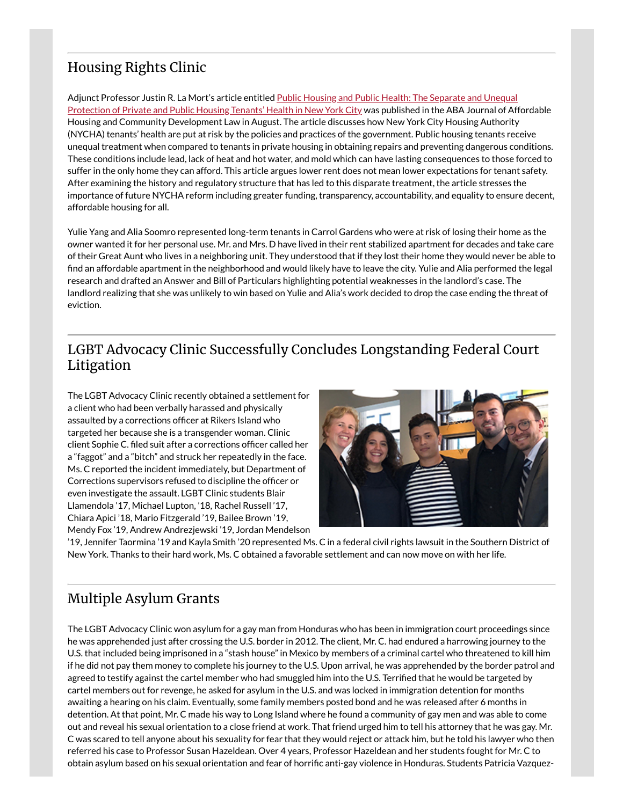## Housing Rights Clinic

Adjunct Professor Justin R. La Mort's article entitled Public Housing and Public Health: The Separate and Unequal [Protection](http://mobilizationforjustice.org/wp-content/uploads/Public-Housing-and-Public-Health.pdf) of Private and Public Housing Tenants' Health in New York City was published in the ABA Journal of Affordable Housing and Community Development Law in August. The article discusses how New York City Housing Authority (NYCHA) tenants' health are put at risk by the policies and practices of the government. Public housing tenants receive unequal treatment when compared to tenants in private housing in obtaining repairs and preventing dangerous conditions. These conditions include lead, lack of heat and hot water, and mold which can have lasting consequences to those forced to suffer in the only home they can afford. This article argues lower rent does not mean lower expectations for tenant safety. After examining the history and regulatory structure that has led to this disparate treatment, the article stresses the importance of future NYCHA reform including greater funding, transparency, accountability, and equality to ensure decent, affordable housing for all.

Yulie Yang and Alia Soomro represented long-term tenants in Carrol Gardens who were at risk of losing their home as the owner wanted it for her personal use. Mr. and Mrs. D have lived in their rent stabilized apartment for decades and take care of their Great Aunt who lives in a neighboring unit. They understood that if they lost their home they would never be able to find an affordable apartment in the neighborhood and would likely have to leave the city. Yulie and Alia performed the legal research and drafted an Answer and Bill of Particulars highlighting potential weaknesses in the landlord's case. The landlord realizing that she was unlikely to win based on Yulie and Alia's work decided to drop the case ending the threat of eviction.

#### LGBT Advocacy Clinic Successfully Concludes Longstanding Federal Court Litigation

The LGBT Advocacy Clinic recently obtained a settlement for a client who had been verbally harassed and physically assaulted by a corrections officer at Rikers Island who targeted her because she is a transgender woman. Clinic client Sophie C. filed suit after a corrections officer called her a "faggot" and a "bitch" and struck her repeatedly in the face. Ms. C reported the incident immediately, but Department of Corrections supervisors refused to discipline the officer or even investigate the assault. LGBT Clinic students Blair Llamendola '17, Michael Lupton, '18, Rachel Russell '17, Chiara Apici '18, Mario Fitzgerald '19, Bailee Brown '19, Mendy Fox '19, Andrew Andrezjewski '19, Jordan Mendelson



'19, Jennifer Taormina '19 and Kayla Smith '20 represented Ms. C in a federal civil rights lawsuit in the Southern District of New York. Thanks to their hard work, Ms. C obtained a favorable settlement and can now move on with her life.

#### Multiple Asylum Grants

The LGBT Advocacy Clinic won asylum for a gay man from Honduras who has been in immigration court proceedings since he was apprehended just after crossing the U.S. border in 2012. The client, Mr. C. had endured a harrowing journey to the U.S. that included being imprisoned in a "stash house" in Mexico by members of a criminal cartel who threatened to kill him if he did not pay them money to complete his journey to the U.S. Upon arrival, he was apprehended by the border patrol and agreed to testify against the cartel member who had smuggled him into the U.S. Terrified that he would be targeted by cartel members out for revenge, he asked for asylum in the U.S. and was locked in immigration detention for months awaiting a hearing on his claim. Eventually, some family members posted bond and he was released after 6 months in detention. At that point, Mr. C made his way to Long Island where he found a community of gay men and was able to come out and reveal his sexual orientation to a close friend at work. That friend urged him to tell his attorney that he was gay. Mr. C was scared to tell anyone about his sexuality for fear that they would reject or attack him, but he told his lawyer who then referred his case to Professor Susan Hazeldean. Over 4 years, Professor Hazeldean and her students fought for Mr. C to obtain asylum based on his sexual orientation and fear of horrific anti-gay violence in Honduras. Students Patricia Vazquez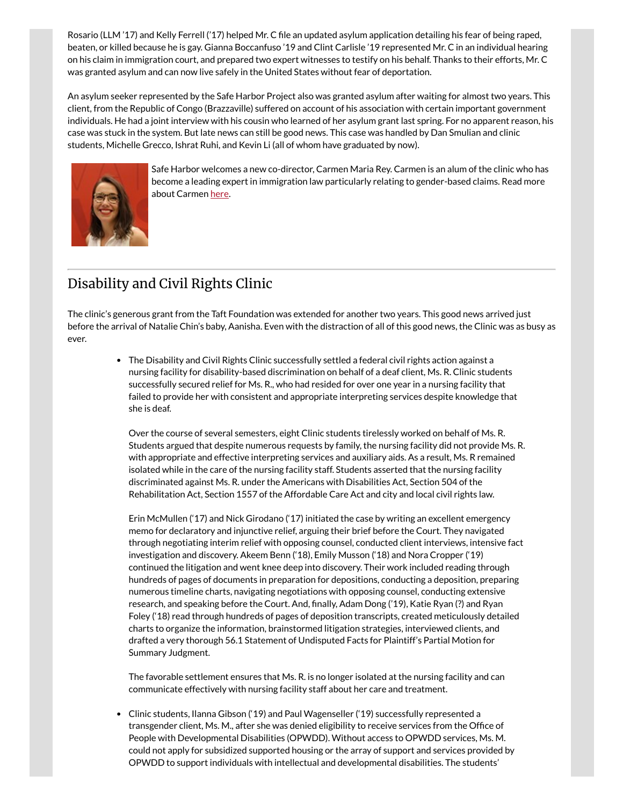Rosario (LLM '17) and Kelly Ferrell ('17) helped Mr. C file an updated asylum application detailing his fear of being raped, beaten, or killed because he is gay. Gianna Boccanfuso '19 and Clint Carlisle '19 represented Mr. C in an individual hearing on his claim in immigration court, and prepared two expert witnesses to testify on his behalf. Thanks to their efforts, Mr. C was granted asylum and can now live safely in the United States without fear of deportation.

An asylum seeker represented by the Safe Harbor Project also was granted asylum after waiting for almost two years. This client, from the Republic of Congo (Brazzaville) suffered on account of his association with certain important government individuals. He had a joint interview with his cousin who learned of her asylum grant last spring. For no apparent reason, his case was stuck in the system. But late news can still be good news. This case was handled by Dan Smulian and clinic students, Michelle Grecco, Ishrat Ruhi, and Kevin Li (all of whom have graduated by now).



Safe Harbor welcomes a new co-director, Carmen Maria Rey. Carmen is an alum of the clinic who has become a leading expert in immigration law particularly relating to gender-based claims. Read more about Carmen [here.](https://www.brooklaw.edu/newsandevents/news/2018/2018-07-18)

## Disability and Civil Rights Clinic

The clinic's generous grant from the Taft Foundation was extended for another two years. This good news arrived just before the arrival of Natalie Chin's baby, Aanisha. Even with the distraction of all of this good news, the Clinic was as busy as ever.

> The Disability and Civil Rights Clinic successfully settled a federal civil rights action against a nursing facility for disability-based discrimination on behalf of a deaf client, Ms. R. Clinic students successfully secured relief for Ms. R., who had resided for over one year in a nursing facility that failed to provide her with consistent and appropriate interpreting services despite knowledge that she is deaf.

Over the course of several semesters, eight Clinic students tirelessly worked on behalf of Ms. R. Students argued that despite numerous requests by family, the nursing facility did not provide Ms. R. with appropriate and effective interpreting services and auxiliary aids. As a result, Ms. R remained isolated while in the care of the nursing facility staff. Students asserted that the nursing facility discriminated against Ms. R. under the Americans with Disabilities Act, Section 504 of the Rehabilitation Act, Section 1557 of the Affordable Care Act and city and local civil rights law.

Erin McMullen ('17) and Nick Girodano ('17) initiated the case by writing an excellent emergency memo for declaratory and injunctive relief, arguing their brief before the Court. They navigated through negotiating interim relief with opposing counsel, conducted client interviews, intensive fact investigation and discovery. Akeem Benn ('18), Emily Musson ('18) and Nora Cropper ('19) continued the litigation and went knee deep into discovery. Their work included reading through hundreds of pages of documents in preparation for depositions, conducting a deposition, preparing numerous timeline charts, navigating negotiations with opposing counsel, conducting extensive research, and speaking before the Court. And, finally, Adam Dong ('19), Katie Ryan (?) and Ryan Foley ('18) read through hundreds of pages of deposition transcripts, created meticulously detailed charts to organize the information, brainstormed litigation strategies, interviewed clients, and drafted a very thorough 56.1 Statement of Undisputed Facts for Plaintiff's Partial Motion for Summary Judgment.

The favorable settlement ensures that Ms. R. is no longer isolated at the nursing facility and can communicate effectively with nursing facility staff about her care and treatment.

Clinic students, Ilanna Gibson ('19) and Paul Wagenseller ('19) successfully represented a transgender client, Ms. M., after she was denied eligibility to receive services from the Office of People with Developmental Disabilities (OPWDD). Without access to OPWDD services, Ms. M. could not apply for subsidized supported housing or the array of support and services provided by OPWDD to support individuals with intellectual and developmental disabilities. The students'